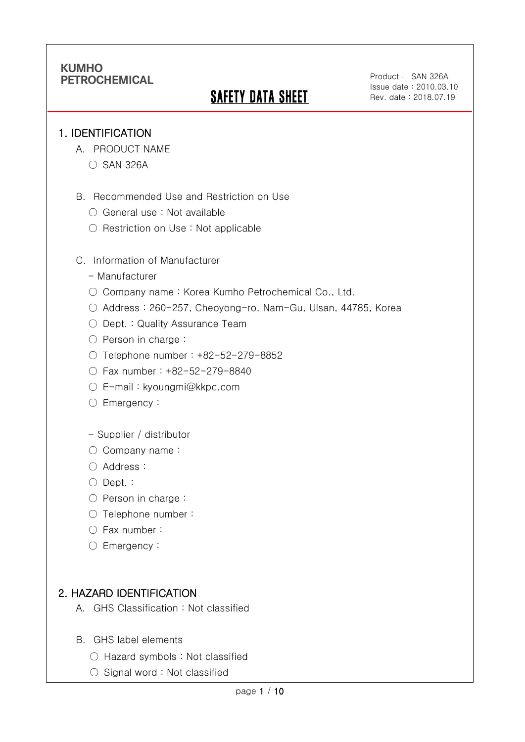# **SAFETY DATA SHEET**

### 1. IDENTIFICATION

Ī

- A. PRODUCT NAME
	- SAN 326A
- B. Recommended Use and Restriction on Use
	- General use : Not available
	- Restriction on Use : Not applicable
- C. Information of Manufacturer
	- Manufacturer
	- Company name: Korea Kumho Petrochemical Co., Ltd.
	- Address : 260-257, Cheoyong-ro, Nam-Gu, Ulsan, 44785, Korea
	- Dept. : Quality Assurance Team
	- Person in charge :
	- Telephone number : +82-52-279-8852
	- Fax number : +82-52-279-8840
	- E-mail : kyoungmi@kkpc.com
	- Emergency:
	- Supplier / distributor
	- Company name:
	- Address :
	- Dept. :
	- Person in charge :
	- Telephone number :
	- Fax number :
	- Emergency:

## 2. HAZARD IDENTIFICATION

- A. GHS Classification : Not classified
- B. GHS label elements
	- Hazard symbols : Not classified
	- Signal word : Not classified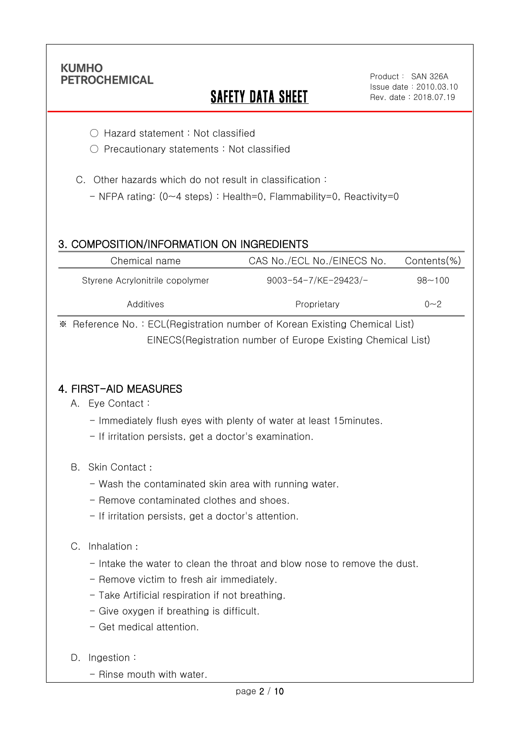Ī

# SAFETY DATA SHEET

- Hazard statement : Not classified
- Precautionary statements : Not classified
- C. Other hazards which do not result in classification :
	- NFPA rating: (0~4 steps) : Health=0, Flammability=0, Reactivity=0

### 3. COMPOSITION/INFORMATION ON INGREDIENTS

| Chemical name                   | CAS No./ECL No./EINECS No.  | Contents(%) |
|---------------------------------|-----------------------------|-------------|
| Styrene Acrylonitrile copolymer | $9003 - 54 - 7$ /KE-29423/- | $98 - 100$  |
| Additives                       | Proprietary                 | $0 - 2$     |

※ Reference No. : ECL(Registration number of Korean Existing Chemical List) EINECS(Registration number of Europe Existing Chemical List)

### 4. FIRST-AID MEASURES

- A. Eye Contact :
	- Immediately flush eyes with plenty of water at least 15minutes.
	- If irritation persists, get a doctor's examination.
- B. Skin Contact :
	- Wash the contaminated skin area with running water.
	- Remove contaminated clothes and shoes.
	- If irritation persists, get a doctor's attention.

#### C. Inhalation :

- Intake the water to clean the throat and blow nose to remove the dust.
- Remove victim to fresh air immediately.
- Take Artificial respiration if not breathing.
- Give oxygen if breathing is difficult.
- Get medical attention.

#### D. Ingestion:

- Rinse mouth with water.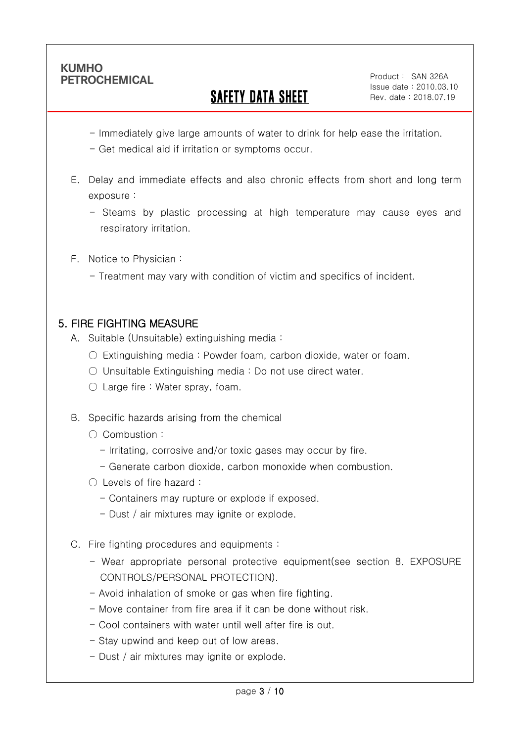Ī

# SAFETY DATA SHEET

- Immediately give large amounts of water to drink for help ease the irritation.
- Get medical aid if irritation or symptoms occur.
- E. Delay and immediate effects and also chronic effects from short and long term exposure :
	- Steams by plastic processing at high temperature may cause eyes and respiratory irritation.
- F. Notice to Physician :
	- Treatment may vary with condition of victim and specifics of incident.

## 5. FIRE FIGHTING MEASURE

- A. Suitable (Unsuitable) extinguishing media :
	- $\circ$  Extinguishing media: Powder foam, carbon dioxide, water or foam.
	- Unsuitable Extinguishing media : Do not use direct water.
	- $\bigcirc$  Large fire : Water spray, foam.
- B. Specific hazards arising from the chemical
	- Combustion :
		- Irritating, corrosive and/or toxic gases may occur by fire.
		- Generate carbon dioxide, carbon monoxide when combustion.
	- Levels of fire hazard :
		- Containers may rupture or explode if exposed.
		- Dust / air mixtures may ignite or explode.
- C. Fire fighting procedures and equipments :
	- Wear appropriate personal protective equipment(see section 8. EXPOSURE CONTROLS/PERSONAL PROTECTION).
	- Avoid inhalation of smoke or gas when fire fighting.
	- Move container from fire area if it can be done without risk.
	- Cool containers with water until well after fire is out.
	- Stay upwind and keep out of low areas.
	- Dust / air mixtures may ignite or explode.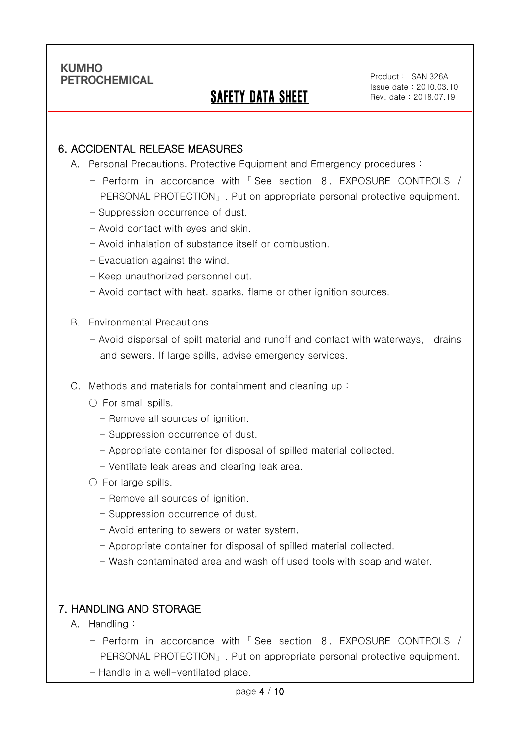Ī

## SAFETY DATA SHEET

### 6. ACCIDENTAL RELEASE MEASURES

- A. Personal Precautions, Protective Equipment and Emergency procedures :
	- Perform in accordance with 「 See section 8. EXPOSURE CONTROLS / PERSONAL PROTECTION」. Put on appropriate personal protective equipment.
	- Suppression occurrence of dust.
	- Avoid contact with eyes and skin.
	- Avoid inhalation of substance itself or combustion.
	- Evacuation against the wind.
	- Keep unauthorized personnel out.
	- Avoid contact with heat, sparks, flame or other ignition sources.
- B. Environmental Precautions
	- Avoid dispersal of spilt material and runoff and contact with waterways, drains and sewers. If large spills, advise emergency services.
- C. Methods and materials for containment and cleaning up :
	- $\bigcirc$  For small spills.
		- Remove all sources of ignition.
		- Suppression occurrence of dust.
		- Appropriate container for disposal of spilled material collected.
		- Ventilate leak areas and clearing leak area.
	- $\bigcirc$  For large spills.
		- Remove all sources of ignition.
		- Suppression occurrence of dust.
		- Avoid entering to sewers or water system.
		- Appropriate container for disposal of spilled material collected.
		- Wash contaminated area and wash off used tools with soap and water.

### 7. HANDLING AND STORAGE

- A. Handling :
	- Perform in accordance with 「 See section 8. EXPOSURE CONTROLS / PERSONAL PROTECTION」. Put on appropriate personal protective equipment.
	- Handle in a well-ventilated place.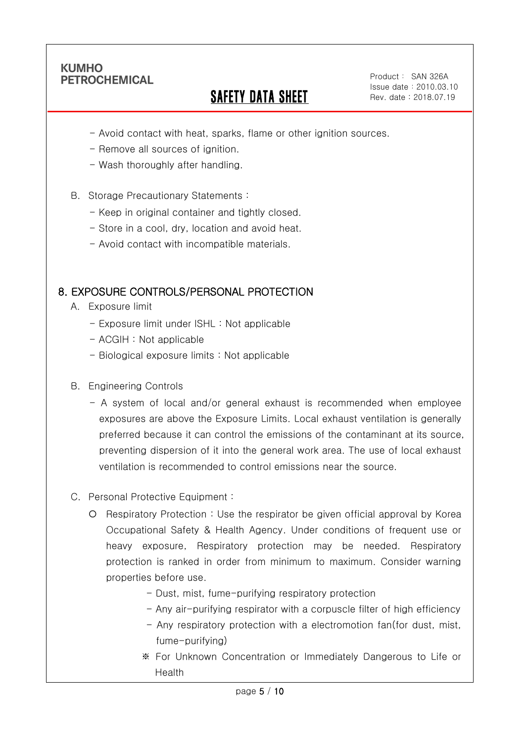Ī

# SAFETY DATA SHEET

Product: SAN 326A Issue date:2010.03.10 Rev. date : 2018.07.19

- Avoid contact with heat, sparks, flame or other ignition sources.
- Remove all sources of ignition.
- Wash thoroughly after handling.
- B. Storage Precautionary Statements :
	- Keep in original container and tightly closed.
	- Store in a cool, dry, location and avoid heat.
	- Avoid contact with incompatible materials.

### 8. EXPOSURE CONTROLS/PERSONAL PROTECTION

- A. Exposure limit
	- Exposure limit under ISHL : Not applicable
	- ACGIH : Not applicable
	- Biological exposure limits : Not applicable
- B. Engineering Controls
	- A system of local and/or general exhaust is recommended when employee exposures are above the Exposure Limits. Local exhaust ventilation is generally preferred because it can control the emissions of the contaminant at its source, preventing dispersion of it into the general work area. The use of local exhaust ventilation is recommended to control emissions near the source.
- C. Personal Protective Equipment :
	- Respiratory Protection : Use the respirator be given official approval by Korea Occupational Safety & Health Agency. Under conditions of frequent use or heavy exposure, Respiratory protection may be needed. Respiratory protection is ranked in order from minimum to maximum. Consider warning properties before use.
		- Dust, mist, fume-purifying respiratory protection
		- Any air-purifying respirator with a corpuscle filter of high efficiency
		- Any respiratory protection with a electromotion fan(for dust, mist, fume-purifying)
		- ※ For Unknown Concentration or Immediately Dangerous to Life or Health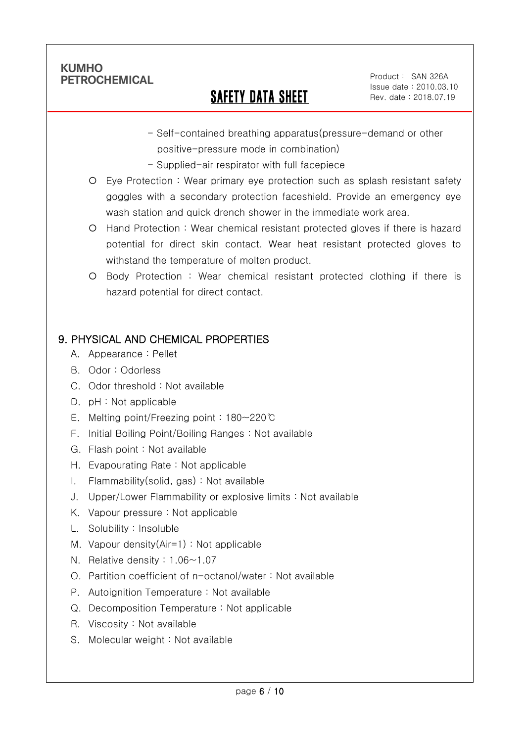Ī

## SAFETY DATA SHEET

- Self-contained breathing apparatus(pressure-demand or other positive-pressure mode in combination)
- Supplied-air respirator with full facepiece
- Eye Protection : Wear primary eye protection such as splash resistant safety goggles with a secondary protection faceshield. Provide an emergency eye wash station and quick drench shower in the immediate work area.
- Hand Protection : Wear chemical resistant protected gloves if there is hazard potential for direct skin contact. Wear heat resistant protected gloves to withstand the temperature of molten product.
- Body Protection : Wear chemical resistant protected clothing if there is hazard potential for direct contact.

## 9. PHYSICAL AND CHEMICAL PROPERTIES

- A. Appearance : Pellet
- B. Odor : Odorless
- C. Odor threshold : Not available
- D. pH : Not applicable
- E. Melting point/Freezing point : 180~220℃
- F. Initial Boiling Point/Boiling Ranges : Not available
- G. Flash point : Not available
- H. Evapourating Rate : Not applicable
- I. Flammability(solid, gas) : Not available
- J. Upper/Lower Flammability or explosive limits : Not available
- K. Vapour pressure : Not applicable
- L. Solubility : Insoluble
- M. Vapour density(Air=1) : Not applicable
- N. Relative density : 1.06~1.07
- O. Partition coefficient of n-octanol/water : Not available
- P. Autoignition Temperature : Not available
- Q. Decomposition Temperature : Not applicable
- R. Viscosity : Not available
- S. Molecular weight : Not available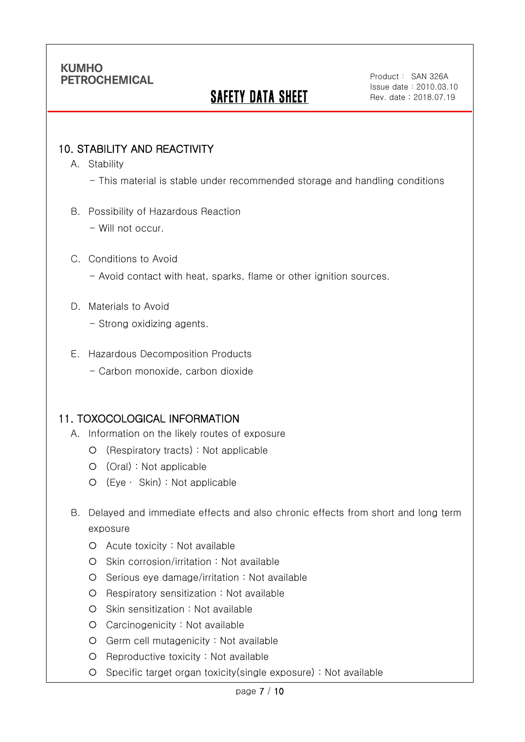# **SAFETY DATA SHEET**

### 10. STABILITY AND REACTIVITY

A. Stability

Ī

- This material is stable under recommended storage and handling conditions
- B. Possibility of Hazardous Reaction
	- Will not occur.

#### C. Conditions to Avoid

- Avoid contact with heat, sparks, flame or other ignition sources.
- D. Materials to Avoid
	- Strong oxidizing agents.
- E. Hazardous Decomposition Products
	- Carbon monoxide, carbon dioxide

## 11. TOXOCOLOGICAL INFORMATION

- A. Information on the likely routes of exposure
	- (Respiratory tracts) : Not applicable
	- (Oral) : Not applicable
	- (Eye ∙ Skin) : Not applicable
- B. Delayed and immediate effects and also chronic effects from short and long term exposure
	- Acute toxicity : Not available
	- O Skin corrosion/irritation : Not available
	- $O$  Serious eye damage/irritation : Not available
	- Respiratory sensitization : Not available
	- O Skin sensitization : Not available
	- Carcinogenicity : Not available
	- Germ cell mutagenicity : Not available
	- O Reproductive toxicity : Not available
	- Specific target organ toxicity(single exposure) : Not available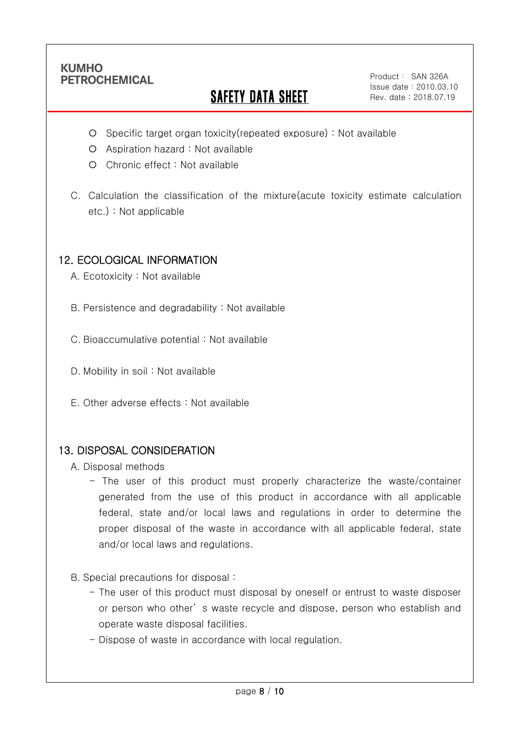Ī

# **SAFETY DATA SHEET**

Product: SAN 326A Issue date:2010.03.10 Rev. date : 2018.07.19

- Specific target organ toxicity(repeated exposure) : Not available
- Aspiration hazard : Not available
- Chronic effect : Not available
- C. Calculation the classification of the mixture(acute toxicity estimate calculation etc.) : Not applicable

### 12. ECOLOGICAL INFORMATION

A. Ecotoxicity : Not available

B. Persistence and degradability : Not available

C. Bioaccumulative potential : Not available

- D. Mobility in soil : Not available
- E. Other adverse effects : Not available

### 13. DISPOSAL CONSIDERATION

A. Disposal methods

- The user of this product must properly characterize the waste/container generated from the use of this product in accordance with all applicable federal, state and/or local laws and regulations in order to determine the proper disposal of the waste in accordance with all applicable federal, state and/or local laws and regulations.
- B. Special precautions for disposal :
	- The user of this product must disposal by oneself or entrust to waste disposer or person who other' s waste recycle and dispose, person who establish and operate waste disposal facilities.
	- Dispose of waste in accordance with local regulation.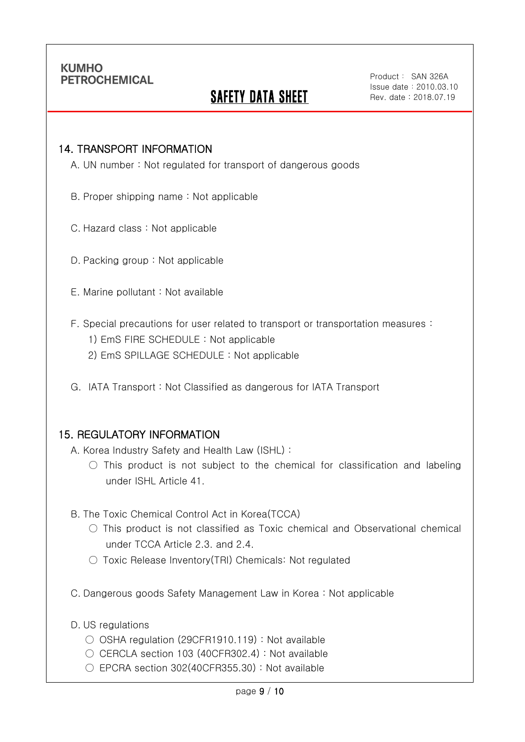Ī

## **SAFETY DATA SHEET**

#### 14. TRANSPORT INFORMATION

A. UN number : Not regulated for transport of dangerous goods

- B. Proper shipping name : Not applicable
- C. Hazard class : Not applicable
- D. Packing group : Not applicable
- E. Marine pollutant : Not available
- F. Special precautions for user related to transport or transportation measures :
	- 1) EmS FIRE SCHEDULE : Not applicable
	- 2) EmS SPILLAGE SCHEDULE : Not applicable
- G. IATA Transport : Not Classified as dangerous for IATA Transport

### 15. REGULATORY INFORMATION

A. Korea Industry Safety and Health Law (ISHL) :

- $\bigcirc$  This product is not subject to the chemical for classification and labeling under ISHL Article 41.
- B. The Toxic Chemical Control Act in Korea(TCCA)
	- $\bigcirc$  This product is not classified as Toxic chemical and Observational chemical under TCCA Article 2.3. and 2.4.
	- Toxic Release Inventory(TRI) Chemicals: Not regulated
- C. Dangerous goods Safety Management Law in Korea : Not applicable
- D. US regulations
	- OSHA regulation (29CFR1910.119) : Not available
	- CERCLA section 103 (40CFR302.4) : Not available
	- $\circ$  EPCRA section 302(40CFR355.30) : Not available